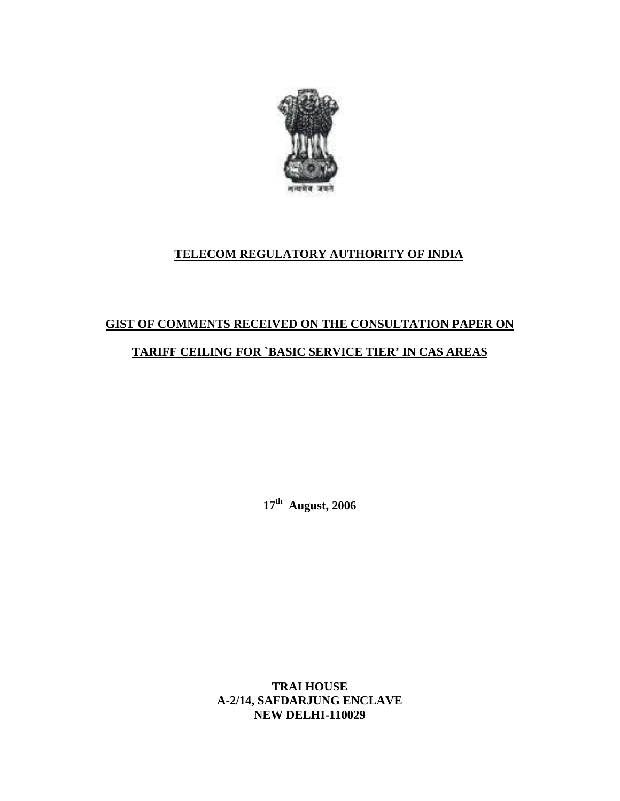

## **TELECOM REGULATORY AUTHORITY OF INDIA**

# **GIST OF COMMENTS RECEIVED ON THE CONSULTATION PAPER ON TARIFF CEILING FOR `BASIC SERVICE TIER' IN CAS AREAS**

**17th August, 2006** 

**TRAI HOUSE A-2/14, SAFDARJUNG ENCLAVE NEW DELHI-110029**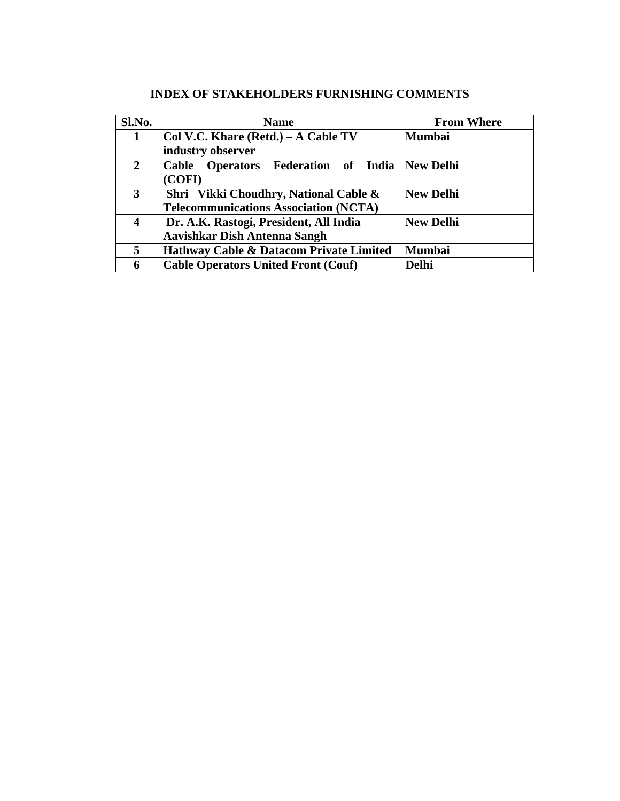| Sl.No.       | <b>Name</b>                                  | <b>From Where</b> |
|--------------|----------------------------------------------|-------------------|
| $\mathbf{1}$ | Col V.C. Khare (Retd.) – A Cable TV          | <b>Mumbai</b>     |
|              | industry observer                            |                   |
| $\mathbf{2}$ | Cable Operators Federation of India          | <b>New Delhi</b>  |
|              | (COFI)                                       |                   |
| 3            | Shri Vikki Choudhry, National Cable &        | <b>New Delhi</b>  |
|              | <b>Telecommunications Association (NCTA)</b> |                   |
| 4            | Dr. A.K. Rastogi, President, All India       | <b>New Delhi</b>  |
|              | <b>Aavishkar Dish Antenna Sangh</b>          |                   |
| 5            | Hathway Cable & Datacom Private Limited      | <b>Mumbai</b>     |
| 6            | <b>Cable Operators United Front (Couf)</b>   | <b>Delhi</b>      |

### **INDEX OF STAKEHOLDERS FURNISHING COMMENTS**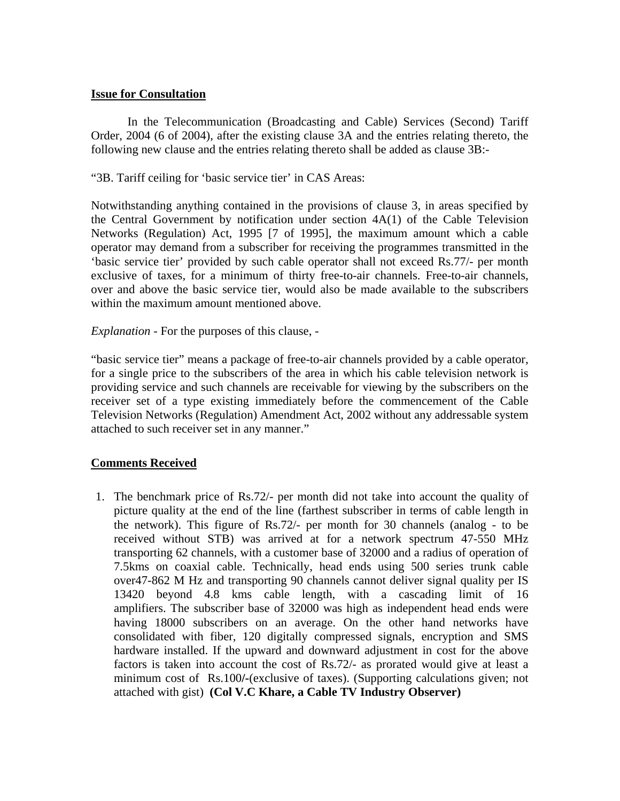#### **Issue for Consultation**

 In the Telecommunication (Broadcasting and Cable) Services (Second) Tariff Order, 2004 (6 of 2004), after the existing clause 3A and the entries relating thereto, the following new clause and the entries relating thereto shall be added as clause 3B:-

"3B. Tariff ceiling for 'basic service tier' in CAS Areas:

Notwithstanding anything contained in the provisions of clause 3, in areas specified by the Central Government by notification under section 4A(1) of the Cable Television Networks (Regulation) Act, 1995 [7 of 1995], the maximum amount which a cable operator may demand from a subscriber for receiving the programmes transmitted in the 'basic service tier' provided by such cable operator shall not exceed Rs.77/- per month exclusive of taxes, for a minimum of thirty free-to-air channels. Free-to-air channels, over and above the basic service tier, would also be made available to the subscribers within the maximum amount mentioned above.

*Explanation* - For the purposes of this clause, -

"basic service tier" means a package of free-to-air channels provided by a cable operator, for a single price to the subscribers of the area in which his cable television network is providing service and such channels are receivable for viewing by the subscribers on the receiver set of a type existing immediately before the commencement of the Cable Television Networks (Regulation) Amendment Act, 2002 without any addressable system attached to such receiver set in any manner."

#### **Comments Received**

1. The benchmark price of Rs.72/- per month did not take into account the quality of picture quality at the end of the line (farthest subscriber in terms of cable length in the network). This figure of Rs.72/- per month for 30 channels (analog - to be received without STB) was arrived at for a network spectrum 47-550 MHz transporting 62 channels, with a customer base of 32000 and a radius of operation of 7.5kms on coaxial cable. Technically, head ends using 500 series trunk cable over47-862 M Hz and transporting 90 channels cannot deliver signal quality per IS 13420 beyond 4.8 kms cable length, with a cascading limit of 16 amplifiers. The subscriber base of 32000 was high as independent head ends were having 18000 subscribers on an average. On the other hand networks have consolidated with fiber, 120 digitally compressed signals, encryption and SMS hardware installed. If the upward and downward adjustment in cost for the above factors is taken into account the cost of Rs.72/- as prorated would give at least a minimum cost of Rs.100**/-**(exclusive of taxes). (Supporting calculations given; not attached with gist) **(Col V.C Khare, a Cable TV Industry Observer)**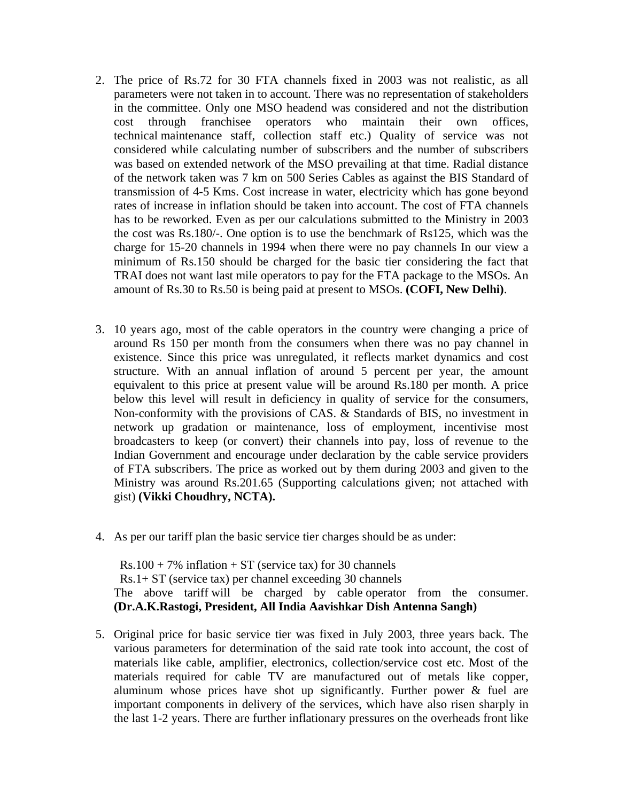- 2. The price of Rs.72 for 30 FTA channels fixed in 2003 was not realistic, as all parameters were not taken in to account. There was no representation of stakeholders in the committee. Only one MSO headend was considered and not the distribution cost through franchisee operators who maintain their own offices, technical maintenance staff, collection staff etc.) Quality of service was not considered while calculating number of subscribers and the number of subscribers was based on extended network of the MSO prevailing at that time. Radial distance of the network taken was 7 km on 500 Series Cables as against the BIS Standard of transmission of 4-5 Kms. Cost increase in water, electricity which has gone beyond rates of increase in inflation should be taken into account. The cost of FTA channels has to be reworked. Even as per our calculations submitted to the Ministry in 2003 the cost was Rs.180/-. One option is to use the benchmark of Rs125, which was the charge for 15-20 channels in 1994 when there were no pay channels In our view a minimum of Rs.150 should be charged for the basic tier considering the fact that TRAI does not want last mile operators to pay for the FTA package to the MSOs. An amount of Rs.30 to Rs.50 is being paid at present to MSOs. **(COFI, New Delhi)**.
- 3. 10 years ago, most of the cable operators in the country were changing a price of around Rs 150 per month from the consumers when there was no pay channel in existence. Since this price was unregulated, it reflects market dynamics and cost structure. With an annual inflation of around 5 percent per year, the amount equivalent to this price at present value will be around Rs.180 per month. A price below this level will result in deficiency in quality of service for the consumers, Non-conformity with the provisions of CAS. & Standards of BIS, no investment in network up gradation or maintenance, loss of employment, incentivise most broadcasters to keep (or convert) their channels into pay, loss of revenue to the Indian Government and encourage under declaration by the cable service providers of FTA subscribers. The price as worked out by them during 2003 and given to the Ministry was around Rs.201.65 (Supporting calculations given; not attached with gist) **(Vikki Choudhry, NCTA).**
- 4. As per our tariff plan the basic service tier charges should be as under:

 $Rs.100 + 7\%$  inflation  $+ ST$  (service tax) for 30 channels Rs.1+ ST (service tax) per channel exceeding 30 channels The above tariff will be charged by cable operator from the consumer. **(Dr.A.K.Rastogi, President, All India Aavishkar Dish Antenna Sangh)** 

5. Original price for basic service tier was fixed in July 2003, three years back. The various parameters for determination of the said rate took into account, the cost of materials like cable, amplifier, electronics, collection/service cost etc. Most of the materials required for cable TV are manufactured out of metals like copper, aluminum whose prices have shot up significantly. Further power & fuel are important components in delivery of the services, which have also risen sharply in the last 1-2 years. There are further inflationary pressures on the overheads front like